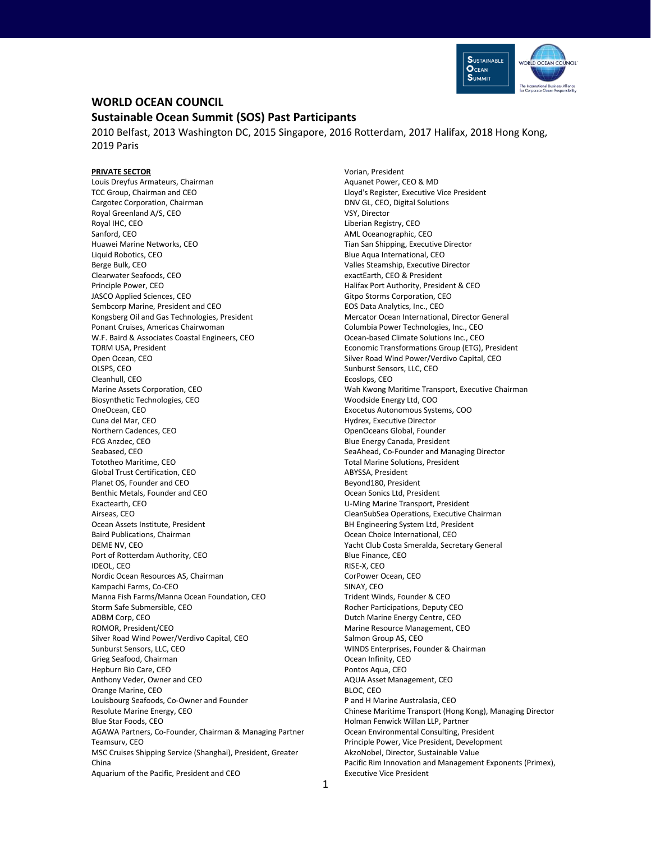

# **WORLD OCEAN COUNCIL**

# **Sustainable Ocean Summit (SOS) Past Participants**

2010 Belfast, 2013 Washington DC, 2015 Singapore, 2016 Rotterdam, 2017 Halifax, 2018 Hong Kong, 2019 Paris

## **PRIVATE SECTOR**

Louis Dreyfus Armateurs, Chairman TCC Group, Chairman and CEO Cargotec Corporation, Chairman Royal Greenland A/S, CEO Royal IHC, CEO Sanford, CEO Huawei Marine Networks, CEO Liquid Robotics, CEO Berge Bulk, CEO Clearwater Seafoods, CEO Principle Power, CEO JASCO Applied Sciences, CEO Sembcorp Marine, President and CEO Kongsberg Oil and Gas Technologies, President Ponant Cruises, Americas Chairwoman W.F. Baird & Associates Coastal Engineers, CEO TORM USA, President Open Ocean, CEO OLSPS, CEO Cleanhull, CEO Marine Assets Corporation, CEO Biosynthetic Technologies, CEO OneOcean, CEO Cuna del Mar, CEO Northern Cadences, CEO FCG Anzdec, CEO Seabased, CEO Tototheo Maritime, CEO Global Trust Certification, CEO Planet OS, Founder and CEO Benthic Metals, Founder and CEO Exactearth, CEO Airseas, CEO Ocean Assets Institute, President Baird Publications, Chairman DEME NV, CEO Port of Rotterdam Authority, CEO IDEOL, CEO Nordic Ocean Resources AS, Chairman Kampachi Farms, Co-CEO Manna Fish Farms/Manna Ocean Foundation, CEO Storm Safe Submersible, CEO ADBM Corp, CEO ROMOR, President/CEO Silver Road Wind Power/Verdivo Capital, CEO Sunburst Sensors, LLC, CEO Grieg Seafood, Chairman Hepburn Bio Care, CEO Anthony Veder, Owner and CEO Orange Marine, CEO Louisbourg Seafoods, Co-Owner and Founder Resolute Marine Energy, CEO Blue Star Foods, CEO AGAWA Partners, Co-Founder, Chairman & Managing Partner Teamsurv, CEO MSC Cruises Shipping Service (Shanghai), President, Greater China Aquarium of the Pacific, President and CEO

Vorian, President Aquanet Power, CEO & MD Lloyd's Register, Executive Vice President DNV GL, CEO, Digital Solutions VSY, Director Liberian Registry, CEO AML Oceanographic, CEO Tian San Shipping, Executive Director Blue Aqua International, CEO Valles Steamship, Executive Director exactEarth, CEO & President Halifax Port Authority, President & CEO Gitpo Storms Corporation, CEO EOS Data Analytics, Inc., CEO Mercator Ocean International, Director General Columbia Power Technologies, Inc., CEO Ocean-based Climate Solutions Inc., CEO Economic Transformations Group (ETG), President Silver Road Wind Power/Verdivo Capital, CEO Sunburst Sensors, LLC, CEO Ecoslops, CEO Wah Kwong Maritime Transport, Executive Chairman Woodside Energy Ltd, COO Exocetus Autonomous Systems, COO Hydrex, Executive Director OpenOceans Global, Founder Blue Energy Canada, President SeaAhead, Co-Founder and Managing Director Total Marine Solutions, President ABYSSA, President Beyond180, President Ocean Sonics Ltd, President U-Ming Marine Transport, President CleanSubSea Operations, Executive Chairman BH Engineering System Ltd, President Ocean Choice International, CEO Yacht Club Costa Smeralda, Secretary General Blue Finance, CEO RISE-X, CEO CorPower Ocean, CEO SINAY, CEO Trident Winds, Founder & CEO Rocher Participations, Deputy CEO Dutch Marine Energy Centre, CEO Marine Resource Management, CEO Salmon Group AS, CEO WINDS Enterprises, Founder & Chairman Ocean Infinity, CEO Pontos Aqua, CEO AQUA Asset Management, CEO BLOC, CEO P and H Marine Australasia, CEO Chinese Maritime Transport (Hong Kong), Managing Director Holman Fenwick Willan LLP, Partner Ocean Environmental Consulting, President Principle Power, Vice President, Development AkzoNobel, Director, Sustainable Value Pacific Rim Innovation and Management Exponents (Primex), Executive Vice President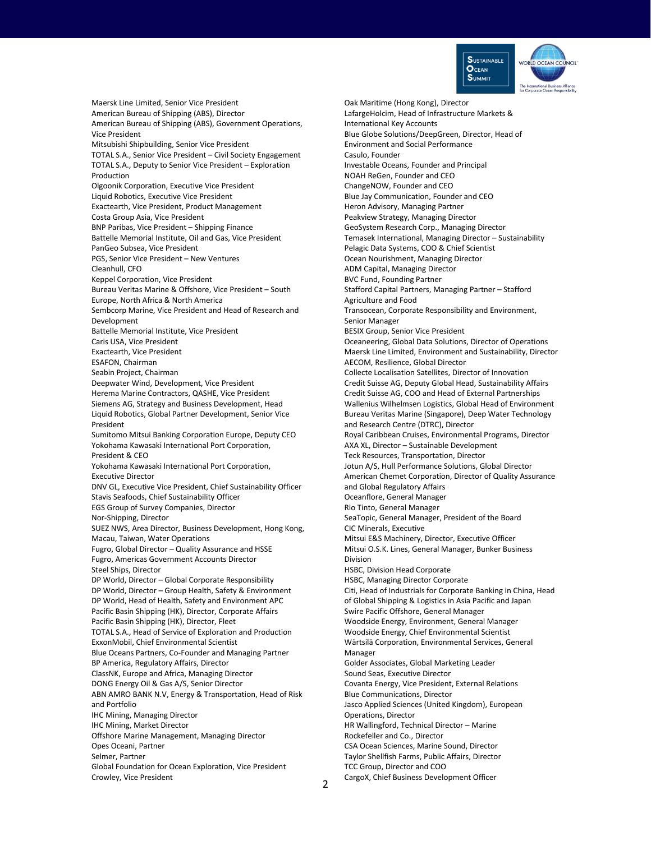

Maersk Line Limited, Senior Vice President American Bureau of Shipping (ABS), Director American Bureau of Shipping (ABS), Government Operations, Vice President Mitsubishi Shipbuilding, Senior Vice President TOTAL S.A., Senior Vice President – Civil Society Engagement TOTAL S.A., Deputy to Senior Vice President – Exploration Production Olgoonik Corporation, Executive Vice President Liquid Robotics, Executive Vice President Exactearth, Vice President, Product Management Costa Group Asia, Vice President BNP Paribas, Vice President – Shipping Finance Battelle Memorial Institute, Oil and Gas, Vice President PanGeo Subsea, Vice President PGS, Senior Vice President – New Ventures Cleanhull, CFO Keppel Corporation, Vice President Bureau Veritas Marine & Offshore, Vice President – South Europe, North Africa & North America Sembcorp Marine, Vice President and Head of Research and Development Battelle Memorial Institute, Vice President Caris USA, Vice President Exactearth, Vice President ESAFON, Chairman Seabin Project, Chairman Deepwater Wind, Development, Vice President Herema Marine Contractors, QASHE, Vice President Siemens AG, Strategy and Business Development, Head Liquid Robotics, Global Partner Development, Senior Vice President Sumitomo Mitsui Banking Corporation Europe, Deputy CEO Yokohama Kawasaki International Port Corporation, President & CEO Yokohama Kawasaki International Port Corporation, Executive Director DNV GL, Executive Vice President, Chief Sustainability Officer Stavis Seafoods, Chief Sustainability Officer EGS Group of Survey Companies, Director Nor-Shipping, Director SUEZ NWS, Area Director, Business Development, Hong Kong, Macau, Taiwan, Water Operations Fugro, Global Director – Quality Assurance and HSSE Fugro, Americas Government Accounts Director Steel Ships, Director DP World, Director – Global Corporate Responsibility DP World, Director – Group Health, Safety & Environment DP World, Head of Health, Safety and Environment APC Pacific Basin Shipping (HK), Director, Corporate Affairs Pacific Basin Shipping (HK), Director, Fleet TOTAL S.A., Head of Service of Exploration and Production ExxonMobil, Chief Environmental Scientist Blue Oceans Partners, Co-Founder and Managing Partner BP America, Regulatory Affairs, Director ClassNK, Europe and Africa, Managing Director DONG Energy Oil & Gas A/S, Senior Director ABN AMRO BANK N.V, Energy & Transportation, Head of Risk and Portfolio IHC Mining, Managing Director IHC Mining, Market Director Offshore Marine Management, Managing Director Opes Oceani, Partner Selmer, Partner Global Foundation for Ocean Exploration, Vice President Crowley, Vice President

Oak Maritime (Hong Kong), Director LafargeHolcim, Head of Infrastructure Markets & International Key Accounts Blue Globe Solutions/DeepGreen, Director, Head of Environment and Social Performance Casulo, Founder Investable Oceans, Founder and Principal NOAH ReGen, Founder and CEO ChangeNOW, Founder and CEO Blue Jay Communication, Founder and CEO Heron Advisory, Managing Partner Peakview Strategy, Managing Director GeoSystem Research Corp., Managing Director Temasek International, Managing Director – Sustainability Pelagic Data Systems, COO & Chief Scientist Ocean Nourishment, Managing Director ADM Capital, Managing Director BVC Fund, Founding Partner Stafford Capital Partners, Managing Partner – Stafford Agriculture and Food Transocean, Corporate Responsibility and Environment, Senior Manager BESIX Group, Senior Vice President Oceaneering, Global Data Solutions, Director of Operations Maersk Line Limited, Environment and Sustainability, Director AECOM, Resilience, Global Director Collecte Localisation Satellites, Director of Innovation Credit Suisse AG, Deputy Global Head, Sustainability Affairs Credit Suisse AG, COO and Head of External Partnerships Wallenius Wilhelmsen Logistics, Global Head of Environment Bureau Veritas Marine (Singapore), Deep Water Technology and Research Centre (DTRC), Director Royal Caribbean Cruises, Environmental Programs, Director AXA XL, Director – Sustainable Development Teck Resources, Transportation, Director Jotun A/S, Hull Performance Solutions, Global Director American Chemet Corporation, Director of Quality Assurance and Global Regulatory Affairs Oceanflore, General Manager Rio Tinto, General Manager SeaTopic, General Manager, President of the Board CIC Minerals, Executive Mitsui E&S Machinery, Director, Executive Officer Mitsui O.S.K. Lines, General Manager, Bunker Business Division HSBC, Division Head Corporate HSBC, Managing Director Corporate Citi, Head of Industrials for Corporate Banking in China, Head of Global Shipping & Logistics in Asia Pacific and Japan Swire Pacific Offshore, General Manager Woodside Energy, Environment, General Manager Woodside Energy, Chief Environmental Scientist Wärtsilä Corporation, Environmental Services, General Manager Golder Associates, Global Marketing Leader Sound Seas, Executive Director Covanta Energy, Vice President, External Relations Blue Communications, Director Jasco Applied Sciences (United Kingdom), European Operations, Director HR Wallingford, Technical Director – Marine Rockefeller and Co., Director CSA Ocean Sciences, Marine Sound, Director Taylor Shellfish Farms, Public Affairs, Director TCC Group, Director and COO CargoX, Chief Business Development Officer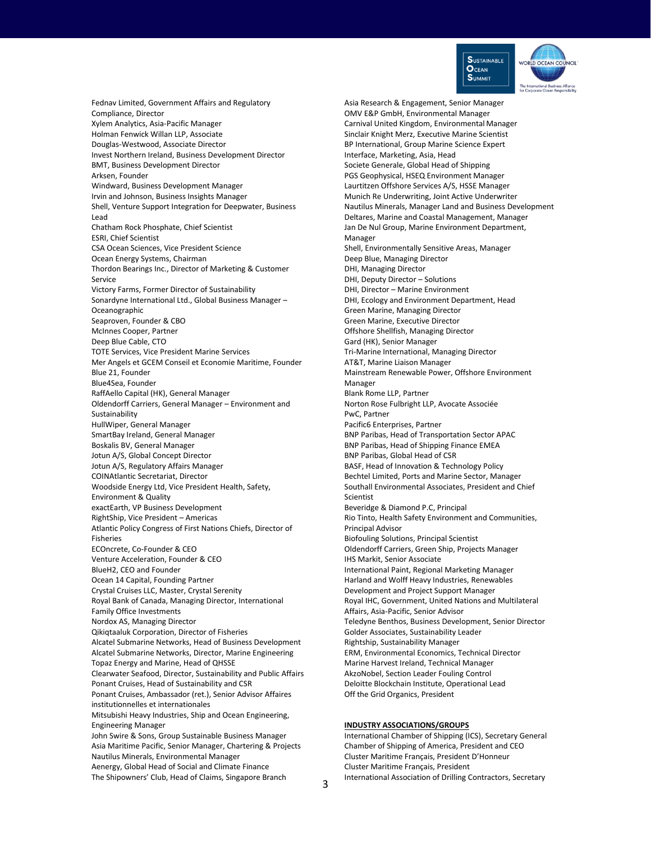

Fednav Limited, Government Affairs and Regulatory Compliance, Director Xylem Analytics, Asia-Pacific Manager Holman Fenwick Willan LLP, Associate Douglas-Westwood, Associate Director Invest Northern Ireland, Business Development Director BMT, Business Development Director Arksen, Founder Windward, Business Development Manager Irvin and Johnson, Business Insights Manager Shell, Venture Support Integration for Deepwater, Business Lead Chatham Rock Phosphate, Chief Scientist ESRI, Chief Scientist CSA Ocean Sciences, Vice President Science Ocean Energy Systems, Chairman Thordon Bearings Inc., Director of Marketing & Customer Service Victory Farms, Former Director of Sustainability Sonardyne International Ltd., Global Business Manager – Oceanographic Seaproven, Founder & CBO McInnes Cooper, Partner Deep Blue Cable, CTO TOTE Services, Vice President Marine Services Mer Angels et GCEM Conseil et Economie Maritime, Founder Blue 21, Founder Blue4Sea, Founder RaffAello Capital (HK), General Manager Oldendorff Carriers, General Manager – Environment and Sustainability HullWiper, General Manager SmartBay Ireland, General Manager Boskalis BV, General Manager Jotun A/S, Global Concept Director Jotun A/S, Regulatory Affairs Manager COINAtlantic Secretariat, Director Woodside Energy Ltd, Vice President Health, Safety, Environment & Quality exactEarth, VP Business Development RightShip, Vice President – Americas Atlantic Policy Congress of First Nations Chiefs, Director of Fisheries ECOncrete, Co-Founder & CEO Venture Acceleration, Founder & CEO BlueH2, CEO and Founder Ocean 14 Capital, Founding Partner Crystal Cruises LLC, Master, Crystal Serenity Royal Bank of Canada, Managing Director, International Family Office Investments Nordox AS, Managing Director Qikiqtaaluk Corporation, Director of Fisheries Alcatel Submarine Networks, Head of Business Development Alcatel Submarine Networks, Director, Marine Engineering Topaz Energy and Marine, Head of QHSSE Clearwater Seafood, Director, Sustainability and Public Affairs Ponant Cruises, Head of Sustainability and CSR Ponant Cruises, Ambassador (ret.), Senior Advisor Affaires institutionnelles et internationales Mitsubishi Heavy Industries, Ship and Ocean Engineering, Engineering Manager John Swire & Sons, Group Sustainable Business Manager Asia Maritime Pacific, Senior Manager, Chartering & Projects Nautilus Minerals, Environmental Manager Aenergy, Global Head of Social and Climate Finance The Shipowners' Club, Head of Claims, Singapore Branch

Asia Research & Engagement, Senior Manager OMV E&P GmbH, Environmental Manager Carnival United Kingdom, Environmental Manager Sinclair Knight Merz, Executive Marine Scientist BP International, Group Marine Science Expert Interface, Marketing, Asia, Head Societe Generale, Global Head of Shipping PGS Geophysical, HSEQ Environment Manager Laurtitzen Offshore Services A/S, HSSE Manager Munich Re Underwriting, Joint Active Underwriter Nautilus Minerals, Manager Land and Business Development Deltares, Marine and Coastal Management, Manager Jan De Nul Group, Marine Environment Department, Manager Shell, Environmentally Sensitive Areas, Manager Deep Blue, Managing Director DHI, Managing Director DHI, Deputy Director – Solutions DHI, Director – Marine Environment DHI, Ecology and Environment Department, Head Green Marine, Managing Director Green Marine, Executive Director Offshore Shellfish, Managing Director Gard (HK), Senior Manager Tri-Marine International, Managing Director AT&T, Marine Liaison Manager Mainstream Renewable Power, Offshore Environment Manager Blank Rome LLP, Partner Norton Rose Fulbright LLP, Avocate Associée PwC, Partner Pacific6 Enterprises, Partner BNP Paribas, Head of Transportation Sector APAC BNP Paribas, Head of Shipping Finance EMEA BNP Paribas, Global Head of CSR BASF, Head of Innovation & Technology Policy Bechtel Limited, Ports and Marine Sector, Manager Southall Environmental Associates, President and Chief Scientist Beveridge & Diamond P.C, Principal Rio Tinto, Health Safety Environment and Communities, Principal Advisor Biofouling Solutions, Principal Scientist Oldendorff Carriers, Green Ship, Projects Manager IHS Markit, Senior Associate International Paint, Regional Marketing Manager Harland and Wolff Heavy Industries, Renewables Development and Project Support Manager Royal IHC, Government, United Nations and Multilateral Affairs, Asia-Pacific, Senior Advisor Teledyne Benthos, Business Development, Senior Director Golder Associates, Sustainability Leader Rightship, Sustainability Manager ERM, Environmental Economics, Technical Director Marine Harvest Ireland, Technical Manager AkzoNobel, Section Leader Fouling Control Deloitte Blockchain Institute, Operational Lead Off the Grid Organics, President

#### **INDUSTRY ASSOCIATIONS/GROUPS**

International Chamber of Shipping (ICS), Secretary General Chamber of Shipping of America, President and CEO Cluster Maritime Français, President D'Honneur Cluster Maritime Français, President International Association of Drilling Contractors, Secretary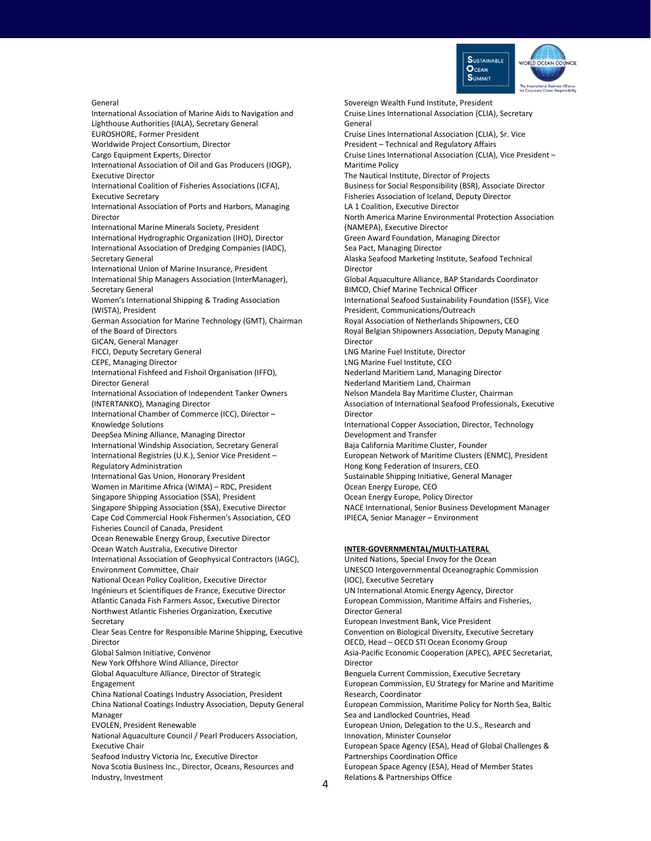

General

International Association of Marine Aids to Navigation and Lighthouse Authorities (IALA), Secretary General EUROSHORE, Former President Worldwide Project Consortium, Director Cargo Equipment Experts, Director International Association of Oil and Gas Producers (IOGP), Executive Director International Coalition of Fisheries Associations (ICFA), Executive Secretary International Association of Ports and Harbors, Managing Director International Marine Minerals Society, President International Hydrographic Organization (IHO), Director International Association of Dredging Companies (IADC), Secretary General International Union of Marine Insurance, President International Ship Managers Association (InterManager), Secretary General Women's International Shipping & Trading Association (WISTA), President German Association for Marine Technology (GMT), Chairman of the Board of Directors GICAN, General Manager FICCI, Deputy Secretary General CEPE, Managing Director International Fishfeed and Fishoil Organisation (IFFO), Director General International Association of Independent Tanker Owners (INTERTANKO), Managing Director International Chamber of Commerce (ICC), Director – Knowledge Solutions DeepSea Mining Alliance, Managing Director International Windship Association, Secretary General International Registries (U.K.), Senior Vice President – Regulatory Administration International Gas Union, Honorary President Women in Maritime Africa (WIMA) – RDC, President Singapore Shipping Association (SSA), President Singapore Shipping Association (SSA), Executive Director Cape Cod Commercial Hook Fishermen's Association, CEO Fisheries Council of Canada, President Ocean Renewable Energy Group, Executive Director Ocean Watch Australia, Executive Director International Association of Geophysical Contractors (IAGC), Environment Committee, Chair National Ocean Policy Coalition, Executive Director Ingénieurs et Scientifiques de France, Executive Director Atlantic Canada Fish Farmers Assoc, Executive Director Northwest Atlantic Fisheries Organization, Executive Secretary Clear Seas Centre for Responsible Marine Shipping, Executive Director Global Salmon Initiative, Convenor New York Offshore Wind Alliance, Director Global Aquaculture Alliance, Director of Strategic Engagement China National Coatings Industry Association, President China National Coatings Industry Association, Deputy General Manager EVOLEN, President Renewable National Aquaculture Council / Pearl Producers Association, Executive Chair Seafood Industry Victoria Inc, Executive Director Nova Scotia Business Inc., Director, Oceans, Resources and Industry, Investment

Sovereign Wealth Fund Institute, President Cruise Lines International Association (CLIA), Secretary General Cruise Lines International Association (CLIA), Sr. Vice President – Technical and Regulatory Affairs Cruise Lines International Association (CLIA), Vice President – Maritime Policy The Nautical Institute, Director of Projects Business for Social Responsibility (BSR), Associate Director Fisheries Association of Iceland, Deputy Director LA 1 Coalition, Executive Director North America Marine Environmental Protection Association (NAMEPA), Executive Director Green Award Foundation, Managing Director Sea Pact, Managing Director Alaska Seafood Marketing Institute, Seafood Technical Director Global Aquaculture Alliance, BAP Standards Coordinator BIMCO, Chief Marine Technical Officer International Seafood Sustainability Foundation (ISSF), Vice President, Communications/Outreach Royal Association of Netherlands Shipowners, CEO Royal Belgian Shipowners Association, Deputy Managing Director LNG Marine Fuel Institute, Director LNG Marine Fuel Institute, CEO Nederland Maritiem Land, Managing Director Nederland Maritiem Land, Chairman Nelson Mandela Bay Maritime Cluster, Chairman Association of International Seafood Professionals, Executive Director International Copper Association, Director, Technology Development and Transfer Baja California Maritime Cluster, Founder European Network of Maritime Clusters (ENMC), President Hong Kong Federation of Insurers, CEO Sustainable Shipping Initiative, General Manager Ocean Energy Europe, CEO Ocean Energy Europe, Policy Director NACE International, Senior Business Development Manager IPIECA, Senior Manager – Environment

#### **INTER-GOVERNMENTAL/MULTI-LATERAL**

United Nations, Special Envoy for the Ocean UNESCO Intergovernmental Oceanographic Commission (IOC), Executive Secretary UN International Atomic Energy Agency, Director European Commission, Maritime Affairs and Fisheries, Director General European Investment Bank, Vice President Convention on Biological Diversity, Executive Secretary OECD, Head – OECD STI Ocean Economy Group Asia-Pacific Economic Cooperation (APEC), APEC Secretariat, Director Benguela Current Commission, Executive Secretary European Commission, EU Strategy for Marine and Maritime Research, Coordinator European Commission, Maritime Policy for North Sea, Baltic Sea and Landlocked Countries, Head European Union, Delegation to the U.S., Research and Innovation, Minister Counselor European Space Agency (ESA), Head of Global Challenges & Partnerships Coordination Office European Space Agency (ESA), Head of Member States Relations & Partnerships Office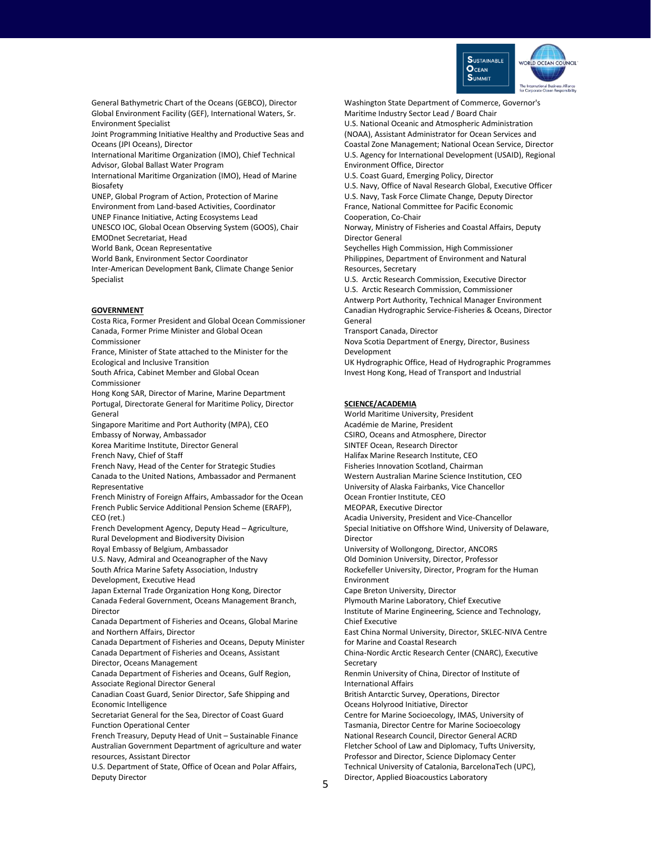

General Bathymetric Chart of the Oceans (GEBCO), Director Global Environment Facility (GEF), International Waters, Sr. Environment Specialist

Joint Programming Initiative Healthy and Productive Seas and Oceans (JPI Oceans), Director

International Maritime Organization (IMO), Chief Technical Advisor, Global Ballast Water Program

International Maritime Organization (IMO), Head of Marine Biosafety

UNEP, Global Program of Action, Protection of Marine Environment from Land-based Activities, Coordinator UNEP Finance Initiative, Acting Ecosystems Lead UNESCO IOC, Global Ocean Observing System (GOOS), Chair

EMODnet Secretariat, Head

World Bank, Ocean Representative

World Bank, Environment Sector Coordinator

Inter-American Development Bank, Climate Change Senior Specialist

### **GOVERNMENT**

Costa Rica, Former President and Global Ocean Commissioner Canada, Former Prime Minister and Global Ocean Commissioner France, Minister of State attached to the Minister for the Ecological and Inclusive Transition South Africa, Cabinet Member and Global Ocean Commissioner

Hong Kong SAR, Director of Marine, Marine Department Portugal, Directorate General for Maritime Policy, Director General

Singapore Maritime and Port Authority (MPA), CEO Embassy of Norway, Ambassador

Korea Maritime Institute, Director General

French Navy, Chief of Staff

French Navy, Head of the Center for Strategic Studies Canada to the United Nations, Ambassador and Permanent Representative

French Ministry of Foreign Affairs, Ambassador for the Ocean French Public Service Additional Pension Scheme (ERAFP), CEO (ret.)

French Development Agency, Deputy Head – Agriculture, Rural Development and Biodiversity Division

Royal Embassy of Belgium, Ambassador

U.S. Navy, Admiral and Oceanographer of the Navy South Africa Marine Safety Association, Industry Development, Executive Head

Japan External Trade Organization Hong Kong, Director

Canada Federal Government, Oceans Management Branch, Director

Canada Department of Fisheries and Oceans, Global Marine and Northern Affairs, Director

Canada Department of Fisheries and Oceans, Deputy Minister Canada Department of Fisheries and Oceans, Assistant Director, Oceans Management

Canada Department of Fisheries and Oceans, Gulf Region, Associate Regional Director General

Canadian Coast Guard, Senior Director, Safe Shipping and Economic Intelligence

Secretariat General for the Sea, Director of Coast Guard Function Operational Center

French Treasury, Deputy Head of Unit – Sustainable Finance Australian Government Department of agriculture and water resources, Assistant Director

U.S. Department of State, Office of Ocean and Polar Affairs, Deputy Director

Washington State Department of Commerce, Governor's Maritime Industry Sector Lead / Board Chair

U.S. National Oceanic and Atmospheric Administration (NOAA), Assistant Administrator for Ocean Services and Coastal Zone Management; National Ocean Service, Director U.S. Agency for International Development (USAID), Regional Environment Office, Director

U.S. Coast Guard, Emerging Policy, Director

U.S. Navy, Office of Naval Research Global, Executive Officer U.S. Navy, Task Force Climate Change, Deputy Director France, National Committee for Pacific Economic Cooperation, Co-Chair

Norway, Ministry of Fisheries and Coastal Affairs, Deputy Director General

Seychelles High Commission, High Commissioner Philippines, Department of Environment and Natural Resources, Secretary

U.S. Arctic Research Commission, Executive Director U.S. Arctic Research Commission, Commissioner Antwerp Port Authority, Technical Manager Environment Canadian Hydrographic Service-Fisheries & Oceans, Director General

Transport Canada, Director

Nova Scotia Department of Energy, Director, Business Development

UK Hydrographic Office, Head of Hydrographic Programmes Invest Hong Kong, Head of Transport and Industrial

#### **SCIENCE/ACADEMIA**

World Maritime University, President Académie de Marine, President CSIRO, Oceans and Atmosphere, Director SINTEF Ocean, Research Director Halifax Marine Research Institute, CEO Fisheries Innovation Scotland, Chairman Western Australian Marine Science Institution, CEO University of Alaska Fairbanks, Vice Chancellor Ocean Frontier Institute, CEO MEOPAR, Executive Director Acadia University, President and Vice-Chancellor Special Initiative on Offshore Wind, University of Delaware, Director University of Wollongong, Director, ANCORS Old Dominion University, Director, Professor Rockefeller University, Director, Program for the Human Environment Cape Breton University, Director Plymouth Marine Laboratory, Chief Executive Institute of Marine Engineering, Science and Technology, Chief Executive East China Normal University, Director, SKLEC-NIVA Centre for Marine and Coastal Research China-Nordic Arctic Research Center (CNARC), Executive Secretary Renmin University of China, Director of Institute of International Affairs British Antarctic Survey, Operations, Director Oceans Holyrood Initiative, Director Centre for Marine Socioecology, IMAS, University of Tasmania, Director Centre for Marine Socioecology National Research Council, Director General ACRD Fletcher School of Law and Diplomacy, Tufts University, Professor and Director, Science Diplomacy Center Technical University of Catalonia, BarcelonaTech (UPC), Director, Applied Bioacoustics Laboratory